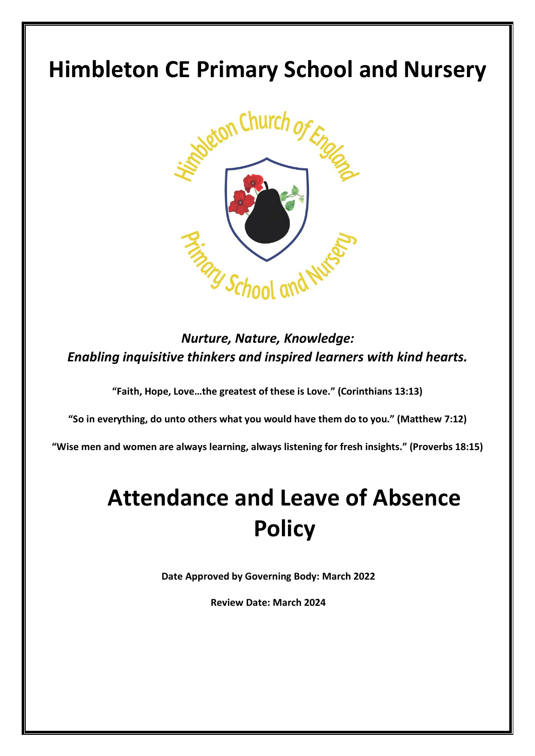## **Himbleton CE Primary School and Nursery**



*Nurture, Nature, Knowledge: Enabling inquisitive thinkers and inspired learners with kind hearts.*

**"Faith, Hope, Love…the greatest of these is Love." (Corinthians 13:13)**

**"So in everything, do unto others what you would have them do to you." (Matthew 7:12)**

**"Wise men and women are always learning, always listening for fresh insights." (Proverbs 18:15)**

# **Attendance and Leave of Absence Policy**

**Date Approved by Governing Body: March 2022**

**Review Date: March 2024**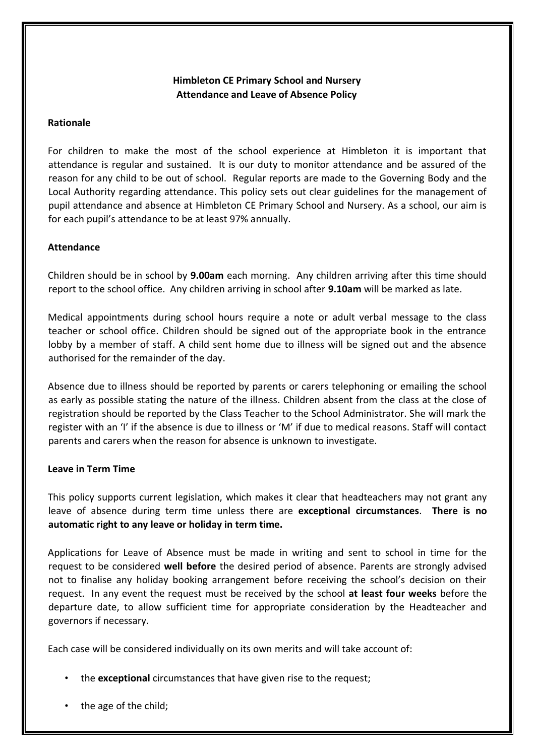### **Himbleton CE Primary School and Nursery Attendance and Leave of Absence Policy**

#### **Rationale**

For children to make the most of the school experience at Himbleton it is important that attendance is regular and sustained. It is our duty to monitor attendance and be assured of the reason for any child to be out of school. Regular reports are made to the Governing Body and the Local Authority regarding attendance. This policy sets out clear guidelines for the management of pupil attendance and absence at Himbleton CE Primary School and Nursery. As a school, our aim is for each pupil's attendance to be at least 97% annually.

#### **Attendance**

Children should be in school by **9.00am** each morning. Any children arriving after this time should report to the school office. Any children arriving in school after **9.10am** will be marked as late.

Medical appointments during school hours require a note or adult verbal message to the class teacher or school office. Children should be signed out of the appropriate book in the entrance lobby by a member of staff. A child sent home due to illness will be signed out and the absence authorised for the remainder of the day.

Absence due to illness should be reported by parents or carers telephoning or emailing the school as early as possible stating the nature of the illness. Children absent from the class at the close of registration should be reported by the Class Teacher to the School Administrator. She will mark the register with an 'I' if the absence is due to illness or 'M' if due to medical reasons. Staff will contact parents and carers when the reason for absence is unknown to investigate.

#### **Leave in Term Time**

This policy supports current legislation, which makes it clear that headteachers may not grant any leave of absence during term time unless there are **exceptional circumstances**. **There is no automatic right to any leave or holiday in term time.** 

Applications for Leave of Absence must be made in writing and sent to school in time for the request to be considered **well before** the desired period of absence. Parents are strongly advised not to finalise any holiday booking arrangement before receiving the school's decision on their request. In any event the request must be received by the school **at least four weeks** before the departure date, to allow sufficient time for appropriate consideration by the Headteacher and governors if necessary.

Each case will be considered individually on its own merits and will take account of:

- the **exceptional** circumstances that have given rise to the request;
- the age of the child;